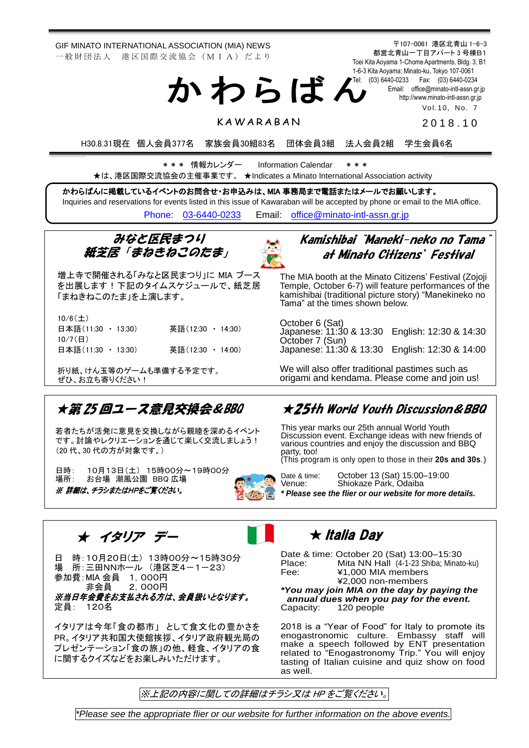GIF MINATO INTERNATIONAL ASSOCIATION (MIA) NEWS 一 般 財 団 法 人 港 区 国 際 交 流 協 会 (M I A) だ よ り

> 1-6-3 Kita Aoyama; Minato-ku, Tokyo 107-0061 Tel: (03) 6440-0233 Fax: (03) 6440-0234 か わ ら ば ん

Vol.10, No. 7 2 0 1 8 . 1 0

〒107-0061 港区北青山 1-6-3 都営北青山一丁目アパート 3 号棟B1 Toei Kita Aoyama 1-Chome Apartments, Bldg. 3, B1

> Email: [office@minato-intl-assn.gr.jp](mailto:office@minato-intl-assn.gr.jp) [http://www.minato-intl-assn.gr.jp](http://www.minato-intl-assn.gr.jp/)

## **KAWARABAN**

H30.8.31現在 個人会員377名 家族会員30組83名 団体会員3組 法人会員2組 学生会員6名

\* \* \* 情報カレンダー Information Calendar \* \* \* ★は、港区国際交流協会の主催事業です。 ★Indicates a Minato International Association activity

かわらばんに掲載しているイベントのお問合せ・お申込みは、MIA 事務局まで電話またはメールでお願いします。 Inquiries and reservations for events listed in this issue of Kawaraban will be accepted by phone or email to the MIA office. [Phone: 03-6440-0233](mailto:Phone:%20%2003-6440-0233) Email: [office@minato-intl-assn.gr.jp](mailto:office@minato-intl-assn.gr.jp)



増上寺で開催される「みなと区民まつり」に MIA ブース を出展します!下記のタイムスケジュールで、紙芝居 「まねきねこのたま」を上演します。

10/6(土)

| 日本語(11:30 · 13:30) |  | 英語(12:30 ・ 14:30) |  |
|--------------------|--|-------------------|--|
| $10/7$ ( $\Box$ )  |  |                   |  |
| 日本語(11:30 ・ 13:30) |  | 英語(12:30 ・ 14:00) |  |

<u>ぜひ、お立ち寄りください!</u><br>-折り紙、けん玉等のゲームも準備する予定です。 ٦

## ★第 25 回ユース意見交換会&BBQ

若者たちが活発に意見を交換しながら親睦を深めるイベント です。討論やレクリエーションを通じて楽しく交流しましょう! (20 代、30 代の方が対象です。)

日時: 10月13日(土) 15時00分~19時00分 場所: お台場 潮風公園 BBQ 広場 ※ 詳細は、チラシまたはHPをご覧ください。



## Kamishibai "Maneki-neko no Tama" at Minato Citizens' Festival

The MIA booth at the Minato Citizens' Festival (Zojoji Temple, October 6-7) will feature performances of the kamishibai (traditional picture story) "Manekineko no Tama" at the times shown below.

October 6 (Sat) Japanese: 11:30 & 13:30 English: 12:30 & 14:30 October 7 (Sun) Japanese: 11:30 & 13:30 English: 12:30 & 14:00

We will also offer traditional pastimes such as origami and kendama. Please come and join us!

## ★25th World Youth Discussion&BBQ

This year marks our 25th annual World Youth Discussion event. Exchange ideas with new friends of various countries and enjoy the discussion and BBQ party, too!

(This program is only open to those in their **20s and 30s**.)

 $w$ ebsite for more details.

| Date & time:                                   | October 13 (Sat) 15:00-19:00 |  |  |  |
|------------------------------------------------|------------------------------|--|--|--|
| Venue:                                         | Shiokaze Park, Odaiba        |  |  |  |
| * Please see the flier or our website for more |                              |  |  |  |

★ イタリア デー

日 時:10月20日(土) 13時00分~15時30分 場 所:三田NNホール (港区芝4-1-23) 参加費:MIA 会員 1,000円 非会員 2,000円 ※当日年会費をお支払される方は、会員扱いとなります。 定員: 120名

イタリアは今年「食の都市」 として食文化の豊かさを PR。イタリア共和国大使館挨拶、イタリア政府観光局の プレゼンテーション「食の旅」の他、軽食、イタリアの食 に関するクイズなどをお楽しみいただけます。

**★ Italia Day** 

 Date & time: October 20 (Sat) 13:00–15:30 Place: Mita NN Hall (4-1-23 Shiba; Minato-ku) Fee: ¥1,000 MIA members ¥2,000 non-members *\*You may join MIA on the day by paying the* 

*annual dues when you pay for the event.* 120 people

2018 is a "Year of Food" for Italy to promote its enogastronomic culture. Embassy staff will make a speech followed by ENT presentation related to "Enogastronomy Trip." You will enjoy tasting of Italian cuisine and quiz show on food as well.

※上記の内容に関しての詳細はチラシ又は HP をご覧ください。

*\*Please see the appropriate flier or our website for further information on the above events.*